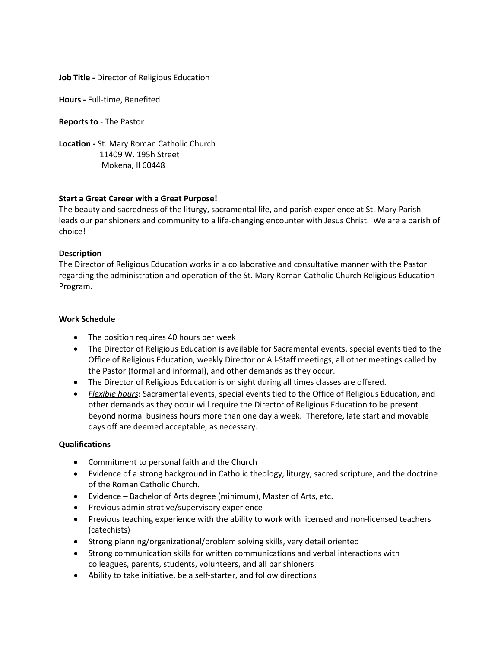#### **Job Title -** Director of Religious Education

**Hours -** Full-time, Benefited

**Reports to** - The Pastor

**Location -** St. Mary Roman Catholic Church 11409 W. 195h Street Mokena, Il 60448

# **Start a Great Career with a Great Purpose!**

The beauty and sacredness of the liturgy, sacramental life, and parish experience at St. Mary Parish leads our parishioners and community to a life-changing encounter with Jesus Christ. We are a parish of choice!

## **Description**

The Director of Religious Education works in a collaborative and consultative manner with the Pastor regarding the administration and operation of the St. Mary Roman Catholic Church Religious Education Program.

#### **Work Schedule**

- The position requires 40 hours per week
- The Director of Religious Education is available for Sacramental events, special events tied to the Office of Religious Education, weekly Director or All-Staff meetings, all other meetings called by the Pastor (formal and informal), and other demands as they occur.
- The Director of Religious Education is on sight during all times classes are offered.
- *Flexible hours*: Sacramental events, special events tied to the Office of Religious Education, and other demands as they occur will require the Director of Religious Education to be present beyond normal business hours more than one day a week. Therefore, late start and movable days off are deemed acceptable, as necessary.

## **Qualifications**

- Commitment to personal faith and the Church
- Evidence of a strong background in Catholic theology, liturgy, sacred scripture, and the doctrine of the Roman Catholic Church.
- Evidence Bachelor of Arts degree (minimum), Master of Arts, etc.
- Previous administrative/supervisory experience
- Previous teaching experience with the ability to work with licensed and non-licensed teachers (catechists)
- Strong planning/organizational/problem solving skills, very detail oriented
- Strong communication skills for written communications and verbal interactions with colleagues, parents, students, volunteers, and all parishioners
- Ability to take initiative, be a self-starter, and follow directions